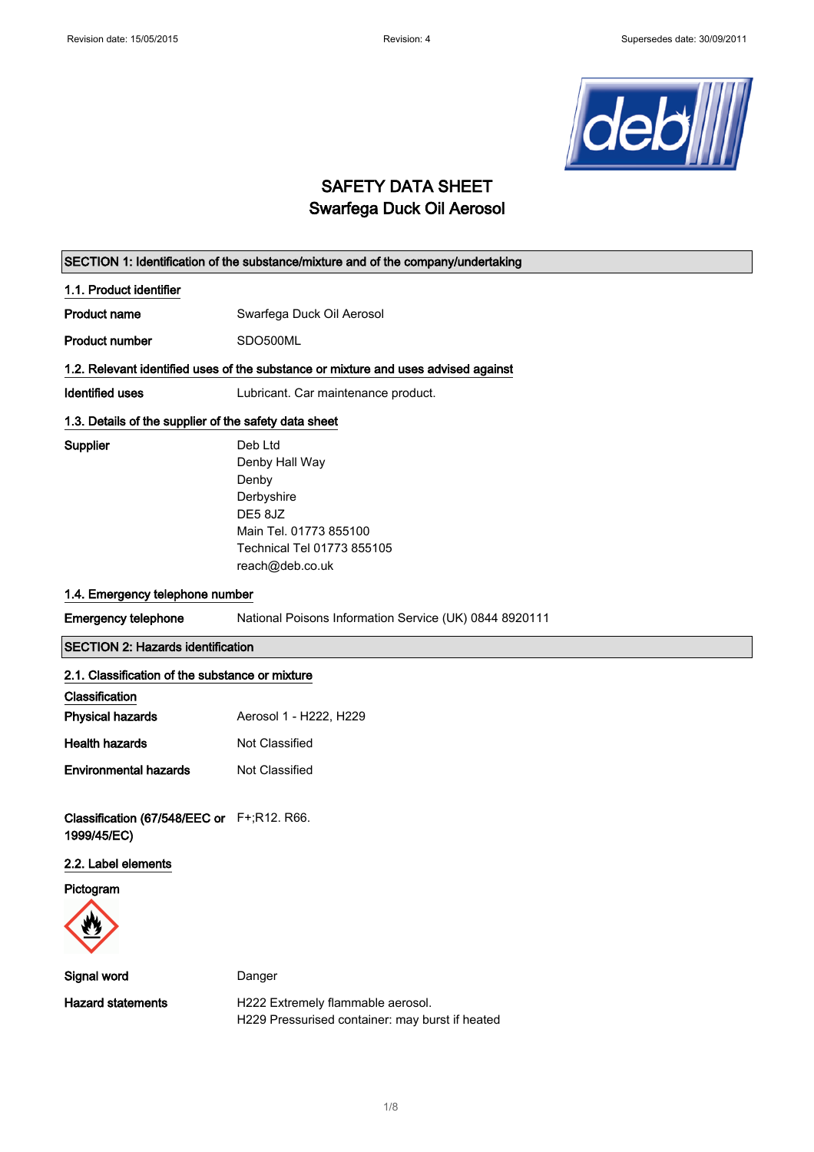

## SAFETY DATA SHEET Swarfega Duck Oil Aerosol

| SECTION 1: Identification of the substance/mixture and of the company/undertaking  |                                                                                                                                        |  |
|------------------------------------------------------------------------------------|----------------------------------------------------------------------------------------------------------------------------------------|--|
| 1.1. Product identifier                                                            |                                                                                                                                        |  |
| <b>Product name</b>                                                                | Swarfega Duck Oil Aerosol                                                                                                              |  |
| <b>Product number</b>                                                              | SDO500ML                                                                                                                               |  |
| 1.2. Relevant identified uses of the substance or mixture and uses advised against |                                                                                                                                        |  |
| <b>Identified uses</b>                                                             | Lubricant. Car maintenance product.                                                                                                    |  |
| 1.3. Details of the supplier of the safety data sheet                              |                                                                                                                                        |  |
| <b>Supplier</b>                                                                    | Deb Ltd<br>Denby Hall Way<br>Denby<br>Derbyshire<br>DE5 8JZ<br>Main Tel. 01773 855100<br>Technical Tel 01773 855105<br>reach@deb.co.uk |  |
| 1.4. Emergency telephone number                                                    |                                                                                                                                        |  |
| <b>Emergency telephone</b>                                                         | National Poisons Information Service (UK) 0844 8920111                                                                                 |  |
| <b>SECTION 2: Hazards identification</b>                                           |                                                                                                                                        |  |
| 2.1. Classification of the substance or mixture                                    |                                                                                                                                        |  |
| Classification                                                                     |                                                                                                                                        |  |
| <b>Physical hazards</b>                                                            | Aerosol 1 - H222, H229                                                                                                                 |  |
| <b>Health hazards</b>                                                              | Not Classified                                                                                                                         |  |
| <b>Environmental hazards</b>                                                       | Not Classified                                                                                                                         |  |
| Classification (67/548/EEC or F+;R12. R66.<br>1999/45/EC)                          |                                                                                                                                        |  |
| 2.2. Label elements                                                                |                                                                                                                                        |  |

Pictogram



Signal word **Danger** 

Hazard statements **H222 Extremely flammable aerosol.** H229 Pressurised container: may burst if heated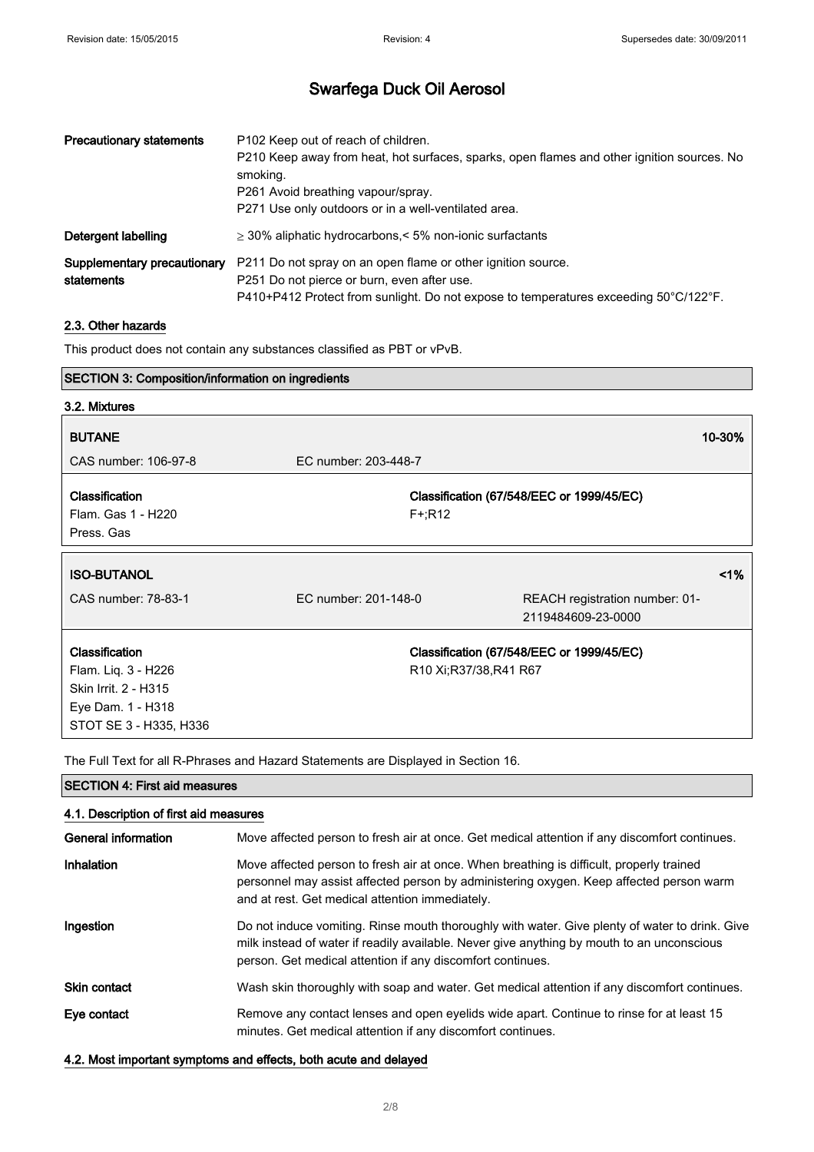## Swarfega Duck Oil Aerosol

| <b>Precautionary statements</b>           | P <sub>102</sub> Keep out of reach of children.<br>P210 Keep away from heat, hot surfaces, sparks, open flames and other ignition sources. No<br>smoking.<br>P261 Avoid breathing vapour/spray.<br>P271 Use only outdoors or in a well-ventilated area. |
|-------------------------------------------|---------------------------------------------------------------------------------------------------------------------------------------------------------------------------------------------------------------------------------------------------------|
| Detergent labelling                       | $\geq$ 30% aliphatic hydrocarbons,< 5% non-ionic surfactants                                                                                                                                                                                            |
| Supplementary precautionary<br>statements | P211 Do not spray on an open flame or other ignition source.<br>P251 Do not pierce or burn, even after use.<br>P410+P412 Protect from sunlight. Do not expose to temperatures exceeding 50°C/122°F.                                                     |

### 2.3. Other hazards

This product does not contain any substances classified as PBT or vPvB.

| <b>SECTION 3: Composition/information on ingredients</b>                                                            |                      |                                                                                                                     |
|---------------------------------------------------------------------------------------------------------------------|----------------------|---------------------------------------------------------------------------------------------------------------------|
| 3.2. Mixtures                                                                                                       |                      |                                                                                                                     |
| <b>BUTANE</b>                                                                                                       |                      | 10-30%                                                                                                              |
| CAS number: 106-97-8                                                                                                | EC number: 203-448-7 |                                                                                                                     |
| Classification<br>Flam. Gas 1 - H220<br>Press, Gas                                                                  |                      | Classification (67/548/EEC or 1999/45/EC)<br>$F + R12$                                                              |
| <b>ISO-BUTANOL</b>                                                                                                  |                      | 1%                                                                                                                  |
| CAS number: 78-83-1                                                                                                 | EC number: 201-148-0 | REACH registration number: 01-<br>2119484609-23-0000                                                                |
| <b>Classification</b><br>Flam. Liq. 3 - H226<br>Skin Irrit. 2 - H315<br>Eye Dam. 1 - H318<br>STOT SE 3 - H335, H336 |                      | Classification (67/548/EEC or 1999/45/EC)<br>R <sub>10</sub> Xi:R <sub>37</sub> /38,R <sub>41</sub> R <sub>67</sub> |

The Full Text for all R-Phrases and Hazard Statements are Displayed in Section 16.

| <b>SECTION 4: First aid measures</b>   |                                                                                                                                                                                                                                                            |  |
|----------------------------------------|------------------------------------------------------------------------------------------------------------------------------------------------------------------------------------------------------------------------------------------------------------|--|
| 4.1. Description of first aid measures |                                                                                                                                                                                                                                                            |  |
| General information                    | Move affected person to fresh air at once. Get medical attention if any discomfort continues.                                                                                                                                                              |  |
| <b>Inhalation</b>                      | Move affected person to fresh air at once. When breathing is difficult, properly trained<br>personnel may assist affected person by administering oxygen. Keep affected person warm<br>and at rest. Get medical attention immediately.                     |  |
| Ingestion                              | Do not induce vomiting. Rinse mouth thoroughly with water. Give plenty of water to drink. Give<br>milk instead of water if readily available. Never give anything by mouth to an unconscious<br>person. Get medical attention if any discomfort continues. |  |
| <b>Skin contact</b>                    | Wash skin thoroughly with soap and water. Get medical attention if any discomfort continues.                                                                                                                                                               |  |
| Eye contact                            | Remove any contact lenses and open eyelids wide apart. Continue to rinse for at least 15<br>minutes. Get medical attention if any discomfort continues.                                                                                                    |  |
|                                        | 4.2. Most important symptoms and effects, both acute and delayed                                                                                                                                                                                           |  |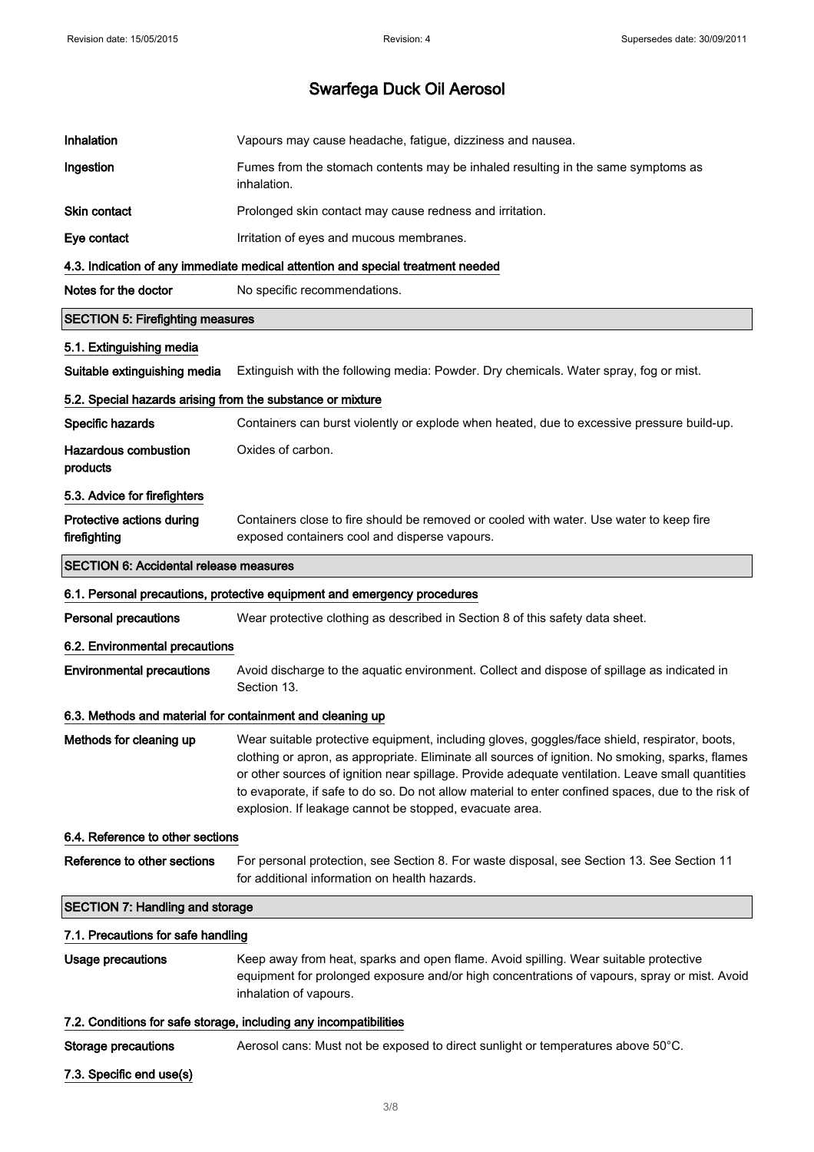| Inhalation                                                 | Vapours may cause headache, fatigue, dizziness and nausea.                                                                                                                                                                                                                                                                                                                                                                                                             |
|------------------------------------------------------------|------------------------------------------------------------------------------------------------------------------------------------------------------------------------------------------------------------------------------------------------------------------------------------------------------------------------------------------------------------------------------------------------------------------------------------------------------------------------|
| Ingestion                                                  | Fumes from the stomach contents may be inhaled resulting in the same symptoms as<br>inhalation.                                                                                                                                                                                                                                                                                                                                                                        |
| <b>Skin contact</b>                                        | Prolonged skin contact may cause redness and irritation.                                                                                                                                                                                                                                                                                                                                                                                                               |
| Eye contact                                                | Irritation of eyes and mucous membranes.                                                                                                                                                                                                                                                                                                                                                                                                                               |
|                                                            | 4.3. Indication of any immediate medical attention and special treatment needed                                                                                                                                                                                                                                                                                                                                                                                        |
| Notes for the doctor                                       | No specific recommendations.                                                                                                                                                                                                                                                                                                                                                                                                                                           |
| <b>SECTION 5: Firefighting measures</b>                    |                                                                                                                                                                                                                                                                                                                                                                                                                                                                        |
| 5.1. Extinguishing media                                   |                                                                                                                                                                                                                                                                                                                                                                                                                                                                        |
| Suitable extinguishing media                               | Extinguish with the following media: Powder. Dry chemicals. Water spray, fog or mist.                                                                                                                                                                                                                                                                                                                                                                                  |
| 5.2. Special hazards arising from the substance or mixture |                                                                                                                                                                                                                                                                                                                                                                                                                                                                        |
| Specific hazards                                           | Containers can burst violently or explode when heated, due to excessive pressure build-up.                                                                                                                                                                                                                                                                                                                                                                             |
| Hazardous combustion<br>products                           | Oxides of carbon.                                                                                                                                                                                                                                                                                                                                                                                                                                                      |
| 5.3. Advice for firefighters                               |                                                                                                                                                                                                                                                                                                                                                                                                                                                                        |
| Protective actions during<br>firefighting                  | Containers close to fire should be removed or cooled with water. Use water to keep fire<br>exposed containers cool and disperse vapours.                                                                                                                                                                                                                                                                                                                               |
| <b>SECTION 6: Accidental release measures</b>              |                                                                                                                                                                                                                                                                                                                                                                                                                                                                        |
|                                                            | 6.1. Personal precautions, protective equipment and emergency procedures                                                                                                                                                                                                                                                                                                                                                                                               |
| <b>Personal precautions</b>                                | Wear protective clothing as described in Section 8 of this safety data sheet.                                                                                                                                                                                                                                                                                                                                                                                          |
|                                                            |                                                                                                                                                                                                                                                                                                                                                                                                                                                                        |
| 6.2. Environmental precautions                             |                                                                                                                                                                                                                                                                                                                                                                                                                                                                        |
| <b>Environmental precautions</b>                           | Avoid discharge to the aquatic environment. Collect and dispose of spillage as indicated in<br>Section 13.                                                                                                                                                                                                                                                                                                                                                             |
| 6.3. Methods and material for containment and cleaning up  |                                                                                                                                                                                                                                                                                                                                                                                                                                                                        |
| Methods for cleaning up                                    | Wear suitable protective equipment, including gloves, goggles/face shield, respirator, boots,<br>clothing or apron, as appropriate. Eliminate all sources of ignition. No smoking, sparks, flames<br>or other sources of ignition near spillage. Provide adequate ventilation. Leave small quantities<br>to evaporate, if safe to do so. Do not allow material to enter confined spaces, due to the risk of<br>explosion. If leakage cannot be stopped, evacuate area. |
| 6.4. Reference to other sections                           |                                                                                                                                                                                                                                                                                                                                                                                                                                                                        |
| Reference to other sections                                | For personal protection, see Section 8. For waste disposal, see Section 13. See Section 11<br>for additional information on health hazards.                                                                                                                                                                                                                                                                                                                            |
| <b>SECTION 7: Handling and storage</b>                     |                                                                                                                                                                                                                                                                                                                                                                                                                                                                        |
| 7.1. Precautions for safe handling                         |                                                                                                                                                                                                                                                                                                                                                                                                                                                                        |
| Usage precautions                                          | Keep away from heat, sparks and open flame. Avoid spilling. Wear suitable protective<br>equipment for prolonged exposure and/or high concentrations of vapours, spray or mist. Avoid<br>inhalation of vapours.                                                                                                                                                                                                                                                         |
|                                                            | 7.2. Conditions for safe storage, including any incompatibilities                                                                                                                                                                                                                                                                                                                                                                                                      |
| <b>Storage precautions</b>                                 | Aerosol cans: Must not be exposed to direct sunlight or temperatures above 50°C.                                                                                                                                                                                                                                                                                                                                                                                       |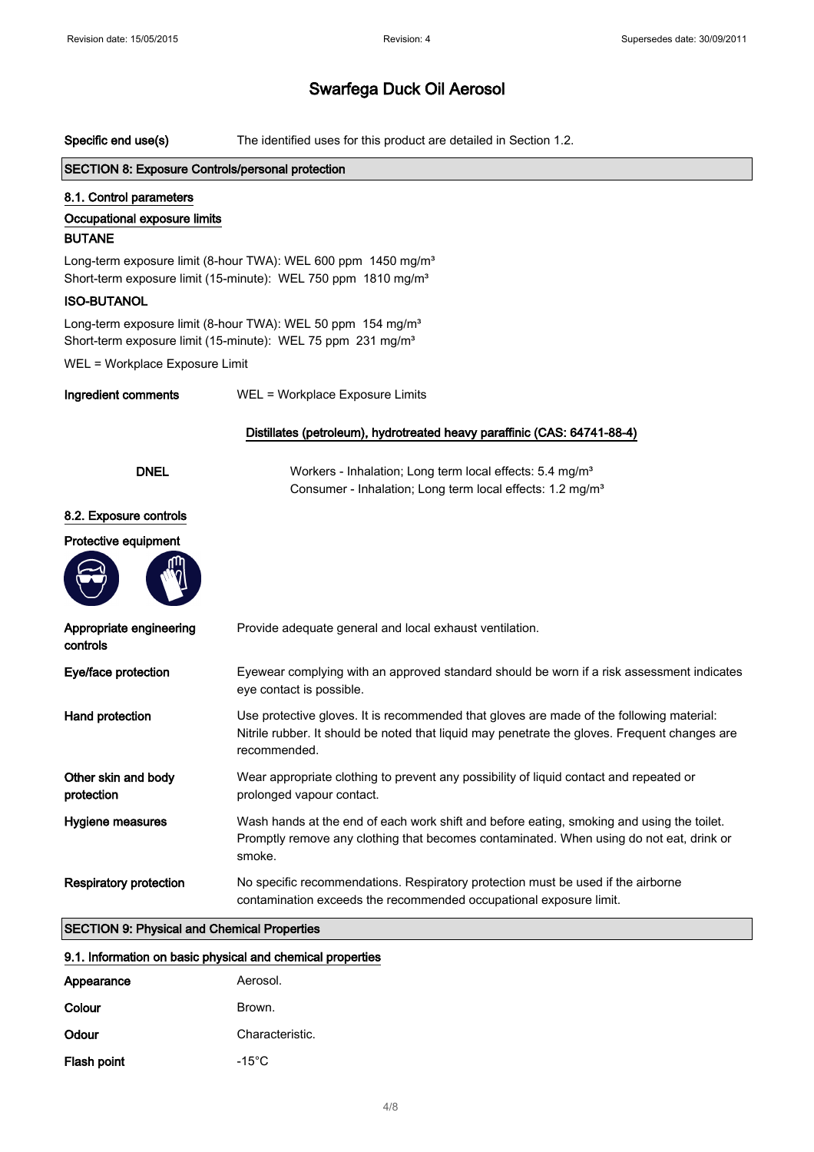| Specific end use(s)                                                                                                                                    | The identified uses for this product are detailed in Section 1.2.                                                                                                                                         |  |
|--------------------------------------------------------------------------------------------------------------------------------------------------------|-----------------------------------------------------------------------------------------------------------------------------------------------------------------------------------------------------------|--|
| <b>SECTION 8: Exposure Controls/personal protection</b>                                                                                                |                                                                                                                                                                                                           |  |
| 8.1. Control parameters                                                                                                                                |                                                                                                                                                                                                           |  |
| Occupational exposure limits                                                                                                                           |                                                                                                                                                                                                           |  |
| <b>BUTANE</b>                                                                                                                                          |                                                                                                                                                                                                           |  |
| Long-term exposure limit (8-hour TWA): WEL 600 ppm 1450 mg/m <sup>3</sup><br>Short-term exposure limit (15-minute): WEL 750 ppm 1810 mg/m <sup>3</sup> |                                                                                                                                                                                                           |  |
| <b>ISO-BUTANOL</b>                                                                                                                                     |                                                                                                                                                                                                           |  |
|                                                                                                                                                        | Long-term exposure limit (8-hour TWA): WEL 50 ppm 154 mg/m <sup>3</sup><br>Short-term exposure limit (15-minute): WEL 75 ppm 231 mg/m <sup>3</sup>                                                        |  |
| WEL = Workplace Exposure Limit                                                                                                                         |                                                                                                                                                                                                           |  |
| Ingredient comments                                                                                                                                    | WEL = Workplace Exposure Limits                                                                                                                                                                           |  |
|                                                                                                                                                        | Distillates (petroleum), hydrotreated heavy paraffinic (CAS: 64741-88-4)                                                                                                                                  |  |
| <b>DNEL</b>                                                                                                                                            | Workers - Inhalation; Long term local effects: 5.4 mg/m <sup>3</sup><br>Consumer - Inhalation; Long term local effects: 1.2 mg/m <sup>3</sup>                                                             |  |
| 8.2. Exposure controls                                                                                                                                 |                                                                                                                                                                                                           |  |
| Protective equipment                                                                                                                                   |                                                                                                                                                                                                           |  |
| Appropriate engineering<br>controls                                                                                                                    | Provide adequate general and local exhaust ventilation.                                                                                                                                                   |  |
| Eye/face protection                                                                                                                                    | Eyewear complying with an approved standard should be worn if a risk assessment indicates<br>eye contact is possible.                                                                                     |  |
| Hand protection                                                                                                                                        | Use protective gloves. It is recommended that gloves are made of the following material:<br>Nitrile rubber. It should be noted that liquid may penetrate the gloves. Frequent changes are<br>recommended. |  |
| Other skin and body<br>protection                                                                                                                      | Wear appropriate clothing to prevent any possibility of liquid contact and repeated or<br>prolonged vapour contact.                                                                                       |  |
| Hygiene measures                                                                                                                                       | Wash hands at the end of each work shift and before eating, smoking and using the toilet.<br>Promptly remove any clothing that becomes contaminated. When using do not eat, drink or<br>smoke.            |  |
| <b>Respiratory protection</b>                                                                                                                          | No specific recommendations. Respiratory protection must be used if the airborne<br>contamination exceeds the recommended occupational exposure limit.                                                    |  |
| <b>SECTION 9: Physical and Chemical Properties</b>                                                                                                     |                                                                                                                                                                                                           |  |
| 9.1. Information on basic physical and chemical properties                                                                                             |                                                                                                                                                                                                           |  |
| Appearance                                                                                                                                             | Aerosol.                                                                                                                                                                                                  |  |
| Colour                                                                                                                                                 | Brown.                                                                                                                                                                                                    |  |

Flash point Flash of the set of the set of the set of the set of the set of the set of the set of the set of the set of the set of the set of the set of the set of the set of the set of the set of the set of the set of the

4/ 8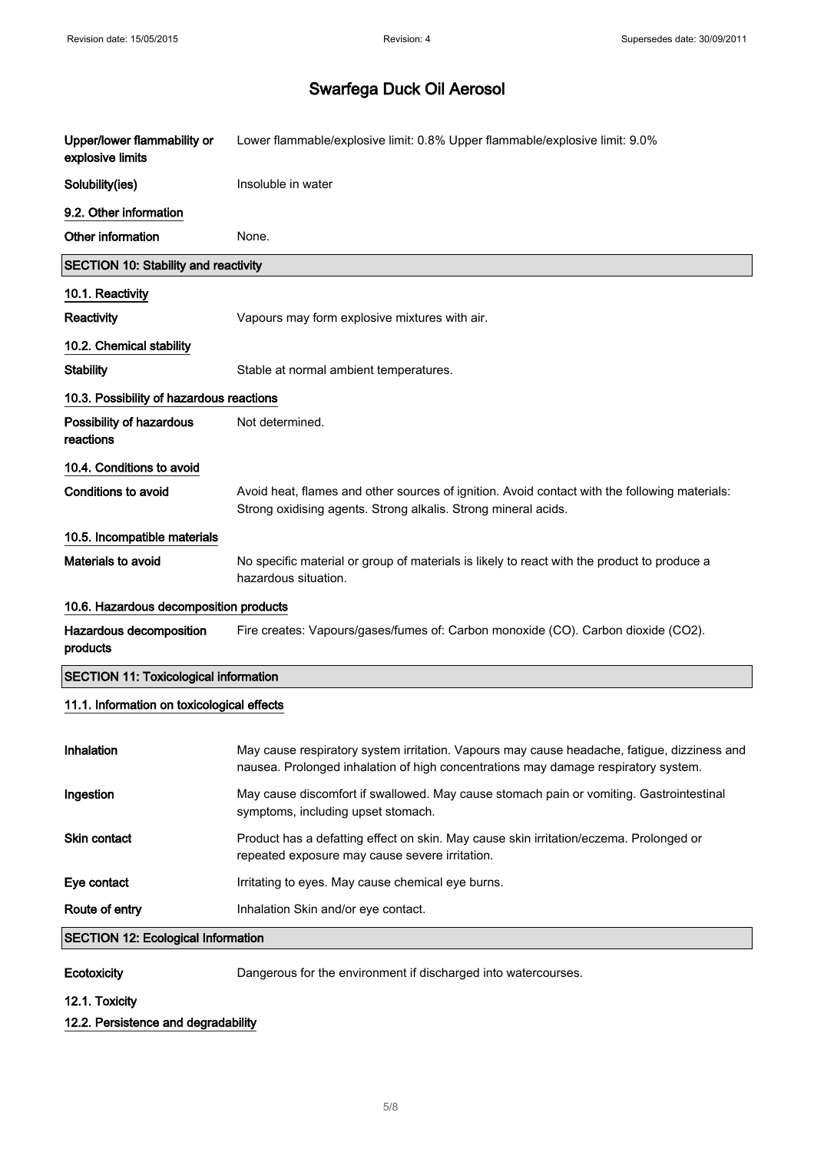| Upper/lower flammability or<br>explosive limits | Lower flammable/explosive limit: 0.8% Upper flammable/explosive limit: 9.0%                                                                                                       |
|-------------------------------------------------|-----------------------------------------------------------------------------------------------------------------------------------------------------------------------------------|
| Solubility(ies)                                 | Insoluble in water                                                                                                                                                                |
| 9.2. Other information                          |                                                                                                                                                                                   |
| Other information                               | None.                                                                                                                                                                             |
| <b>SECTION 10: Stability and reactivity</b>     |                                                                                                                                                                                   |
| 10.1. Reactivity                                |                                                                                                                                                                                   |
| Reactivity                                      | Vapours may form explosive mixtures with air.                                                                                                                                     |
| 10.2. Chemical stability                        |                                                                                                                                                                                   |
| <b>Stability</b>                                | Stable at normal ambient temperatures.                                                                                                                                            |
| 10.3. Possibility of hazardous reactions        |                                                                                                                                                                                   |
| Possibility of hazardous<br>reactions           | Not determined.                                                                                                                                                                   |
| 10.4. Conditions to avoid                       |                                                                                                                                                                                   |
| <b>Conditions to avoid</b>                      | Avoid heat, flames and other sources of ignition. Avoid contact with the following materials:<br>Strong oxidising agents. Strong alkalis. Strong mineral acids.                   |
| 10.5. Incompatible materials                    |                                                                                                                                                                                   |
| Materials to avoid                              | No specific material or group of materials is likely to react with the product to produce a<br>hazardous situation.                                                               |
| 10.6. Hazardous decomposition products          |                                                                                                                                                                                   |
| Hazardous decomposition<br>products             | Fire creates: Vapours/gases/fumes of: Carbon monoxide (CO). Carbon dioxide (CO2).                                                                                                 |
| <b>SECTION 11: Toxicological information</b>    |                                                                                                                                                                                   |
| 11.1. Information on toxicological effects      |                                                                                                                                                                                   |
| Inhalation                                      | May cause respiratory system irritation. Vapours may cause headache, fatigue, dizziness and<br>nausea. Prolonged inhalation of high concentrations may damage respiratory system. |
| Ingestion                                       | May cause discomfort if swallowed. May cause stomach pain or vomiting. Gastrointestinal<br>symptoms, including upset stomach.                                                     |
| Skin contact                                    | Product has a defatting effect on skin. May cause skin irritation/eczema. Prolonged or<br>repeated exposure may cause severe irritation.                                          |
| Eye contact                                     | Irritating to eyes. May cause chemical eye burns.                                                                                                                                 |
| Route of entry                                  | Inhalation Skin and/or eye contact.                                                                                                                                               |
| <b>SECTION 12: Ecological Information</b>       |                                                                                                                                                                                   |
|                                                 |                                                                                                                                                                                   |

Ecotoxicity **Ecotoxicity** Dangerous for the environment if discharged into watercourses.

12.1. Toxicity

#### 12.2. Persistence and degradability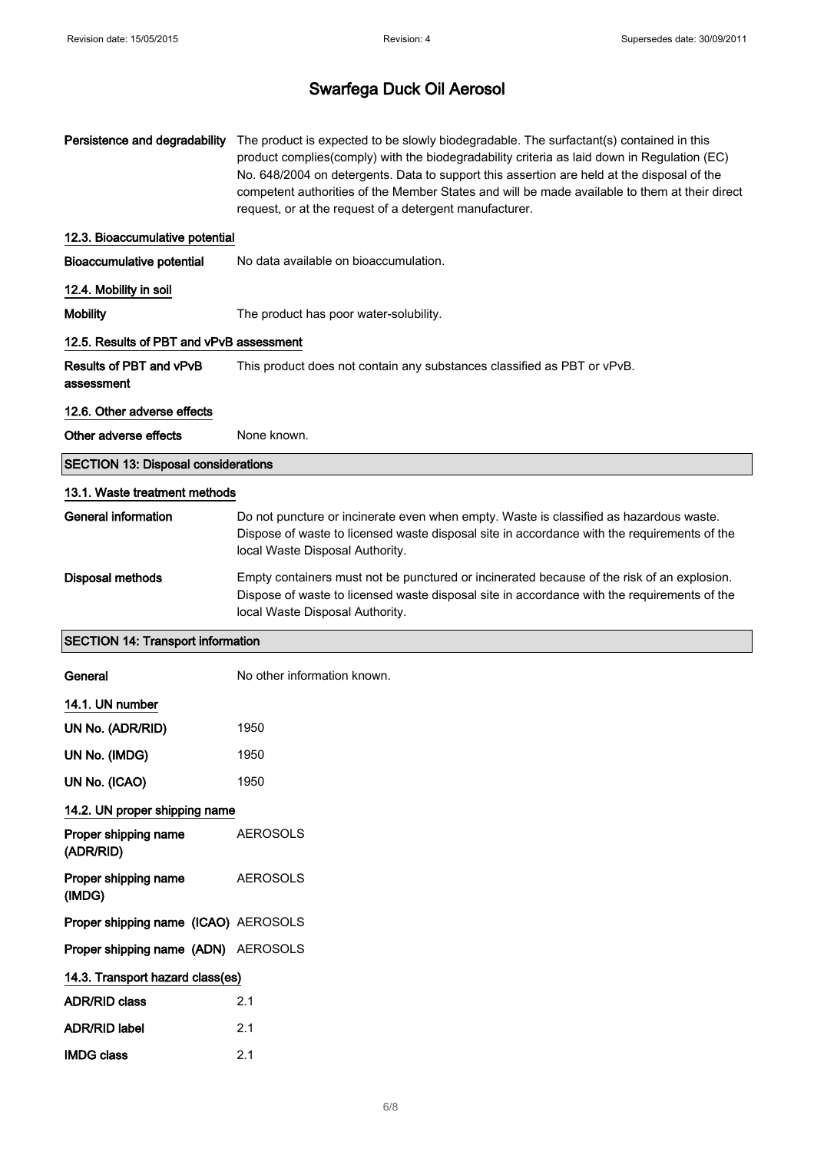| Persistence and degradability              | The product is expected to be slowly biodegradable. The surfactant(s) contained in this<br>product complies(comply) with the biodegradability criteria as laid down in Regulation (EC)<br>No. 648/2004 on detergents. Data to support this assertion are held at the disposal of the<br>competent authorities of the Member States and will be made available to them at their direct<br>request, or at the request of a detergent manufacturer. |
|--------------------------------------------|--------------------------------------------------------------------------------------------------------------------------------------------------------------------------------------------------------------------------------------------------------------------------------------------------------------------------------------------------------------------------------------------------------------------------------------------------|
| 12.3. Bioaccumulative potential            |                                                                                                                                                                                                                                                                                                                                                                                                                                                  |
| <b>Bioaccumulative potential</b>           | No data available on bioaccumulation.                                                                                                                                                                                                                                                                                                                                                                                                            |
| 12.4. Mobility in soil                     |                                                                                                                                                                                                                                                                                                                                                                                                                                                  |
| <b>Mobility</b>                            | The product has poor water-solubility.                                                                                                                                                                                                                                                                                                                                                                                                           |
| 12.5. Results of PBT and vPvB assessment   |                                                                                                                                                                                                                                                                                                                                                                                                                                                  |
| Results of PBT and vPvB<br>assessment      | This product does not contain any substances classified as PBT or vPvB.                                                                                                                                                                                                                                                                                                                                                                          |
| 12.6. Other adverse effects                |                                                                                                                                                                                                                                                                                                                                                                                                                                                  |
| Other adverse effects                      | None known.                                                                                                                                                                                                                                                                                                                                                                                                                                      |
| <b>SECTION 13: Disposal considerations</b> |                                                                                                                                                                                                                                                                                                                                                                                                                                                  |
| 13.1. Waste treatment methods              |                                                                                                                                                                                                                                                                                                                                                                                                                                                  |
| <b>General information</b>                 | Do not puncture or incinerate even when empty. Waste is classified as hazardous waste.<br>Dispose of waste to licensed waste disposal site in accordance with the requirements of the<br>local Waste Disposal Authority.                                                                                                                                                                                                                         |
| <b>Disposal methods</b>                    | Empty containers must not be punctured or incinerated because of the risk of an explosion.<br>Dispose of waste to licensed waste disposal site in accordance with the requirements of the<br>local Waste Disposal Authority.                                                                                                                                                                                                                     |
| <b>SECTION 14: Transport information</b>   |                                                                                                                                                                                                                                                                                                                                                                                                                                                  |
| General                                    | No other information known.                                                                                                                                                                                                                                                                                                                                                                                                                      |
| 14.1. UN number                            |                                                                                                                                                                                                                                                                                                                                                                                                                                                  |
| UN No. (ADR/RID)                           | 1950                                                                                                                                                                                                                                                                                                                                                                                                                                             |
| UN No. (IMDG)                              | 1950                                                                                                                                                                                                                                                                                                                                                                                                                                             |
| UN No. (ICAO)                              | 1950                                                                                                                                                                                                                                                                                                                                                                                                                                             |
| 14.2. UN proper shipping name              |                                                                                                                                                                                                                                                                                                                                                                                                                                                  |
| Proper shipping name<br>(ADR/RID)          | <b>AEROSOLS</b>                                                                                                                                                                                                                                                                                                                                                                                                                                  |
| Proper shipping name<br>(IMDG)             | <b>AEROSOLS</b>                                                                                                                                                                                                                                                                                                                                                                                                                                  |
| Proper shipping name (ICAO) AEROSOLS       |                                                                                                                                                                                                                                                                                                                                                                                                                                                  |
| Proper shipping name (ADN) AEROSOLS        |                                                                                                                                                                                                                                                                                                                                                                                                                                                  |
| 14.3. Transport hazard class(es)           |                                                                                                                                                                                                                                                                                                                                                                                                                                                  |
| <b>ADR/RID class</b>                       | 2.1                                                                                                                                                                                                                                                                                                                                                                                                                                              |
| <b>ADR/RID label</b>                       | 2.1                                                                                                                                                                                                                                                                                                                                                                                                                                              |
| <b>IMDG class</b>                          | 2.1                                                                                                                                                                                                                                                                                                                                                                                                                                              |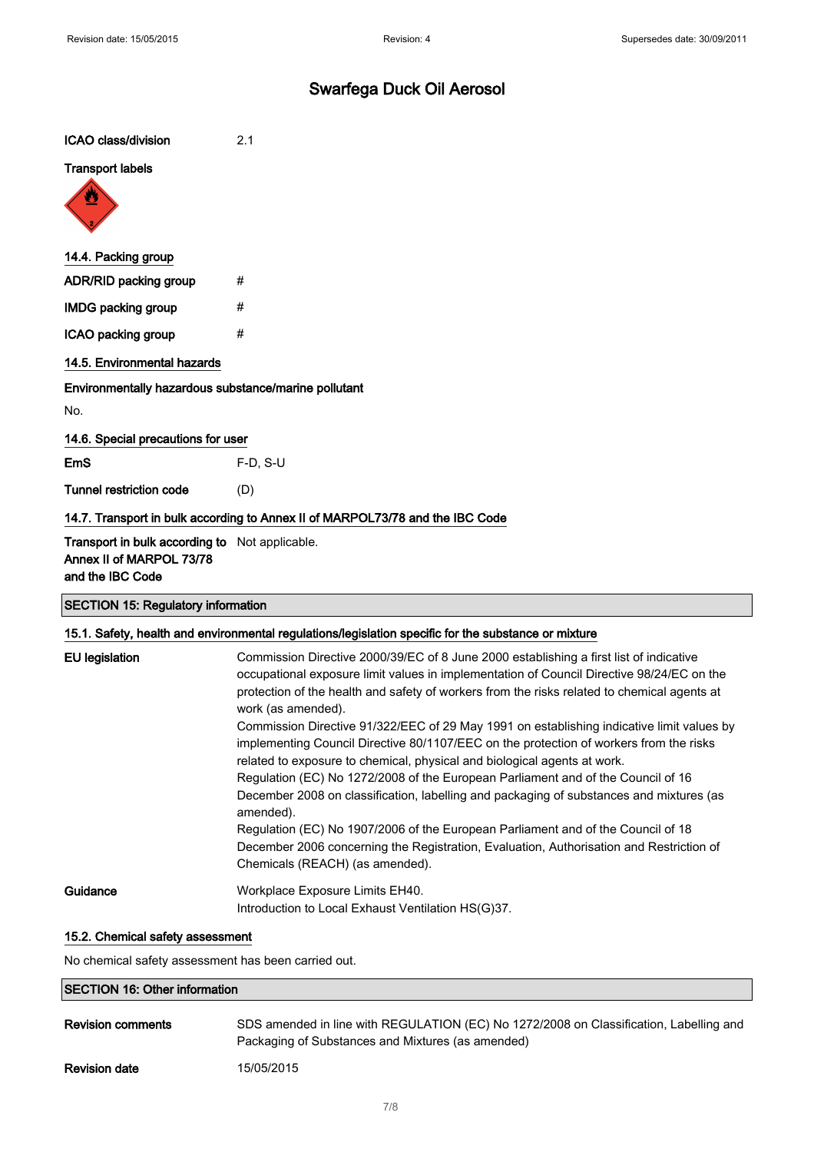| ICAO class/division                                                                            | 2.1        |  |
|------------------------------------------------------------------------------------------------|------------|--|
| <b>Transport labels</b><br><b>W</b>                                                            |            |  |
| 14.4. Packing group                                                                            |            |  |
| ADR/RID packing group                                                                          | #          |  |
| <b>IMDG packing group</b>                                                                      | #          |  |
| ICAO packing group                                                                             | #          |  |
| 14.5. Environmental hazards                                                                    |            |  |
| Environmentally hazardous substance/marine pollutant                                           |            |  |
| No.                                                                                            |            |  |
| 14.6. Special precautions for user                                                             |            |  |
| <b>EmS</b>                                                                                     | $F-D, S-U$ |  |
| <b>Tunnel restriction code</b>                                                                 | (D)        |  |
| 14.7. Transport in bulk according to Annex II of MARPOL73/78 and the IBC Code                  |            |  |
| Transport in bulk according to Not applicable.<br>Annex II of MARPOL 73/78<br>and the IBC Code |            |  |

# SECTION 15: Regulatory information

|                       | 15.1. Safety, health and environmental regulations/legislation specific for the substance or mixture                                                                                                                                                                                                                                                                                                                                                                                            |
|-----------------------|-------------------------------------------------------------------------------------------------------------------------------------------------------------------------------------------------------------------------------------------------------------------------------------------------------------------------------------------------------------------------------------------------------------------------------------------------------------------------------------------------|
| <b>EU</b> legislation | Commission Directive 2000/39/EC of 8 June 2000 establishing a first list of indicative<br>occupational exposure limit values in implementation of Council Directive 98/24/EC on the<br>protection of the health and safety of workers from the risks related to chemical agents at<br>work (as amended).<br>Commission Directive 91/322/EEC of 29 May 1991 on establishing indicative limit values by<br>implementing Council Directive 80/1107/EEC on the protection of workers from the risks |
|                       | related to exposure to chemical, physical and biological agents at work.<br>Regulation (EC) No 1272/2008 of the European Parliament and of the Council of 16<br>December 2008 on classification, labelling and packaging of substances and mixtures (as<br>amended).                                                                                                                                                                                                                            |
|                       | Regulation (EC) No 1907/2006 of the European Parliament and of the Council of 18<br>December 2006 concerning the Registration, Evaluation, Authorisation and Restriction of<br>Chemicals (REACH) (as amended).                                                                                                                                                                                                                                                                                  |
| Guidance              | Workplace Exposure Limits EH40.<br>Introduction to Local Exhaust Ventilation HS(G)37.                                                                                                                                                                                                                                                                                                                                                                                                           |

#### 15.2. Chemical safety assessment

No chemical safety assessment has been carried out.

## SECTION 16: Other information

| <b>Revision comments</b> | SDS amended in line with REGULATION (EC) No 1272/2008 on Classification, Labelling and<br>Packaging of Substances and Mixtures (as amended) |
|--------------------------|---------------------------------------------------------------------------------------------------------------------------------------------|
| <b>Revision date</b>     | 15/05/2015                                                                                                                                  |